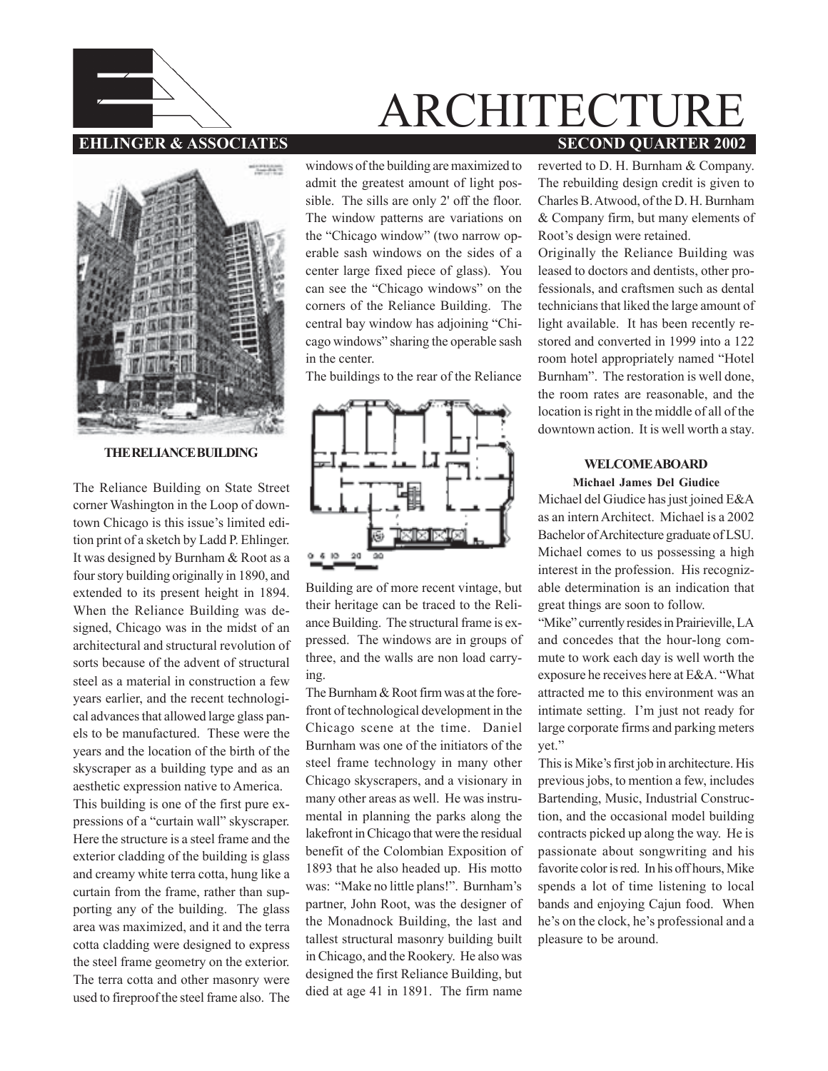

## **EHLINGER & ASSOCIATES** SECOND QUARTER 2002 ARCHITECTURE

menten

**THE RELIANCE BUILDING**

The Reliance Building on State Street corner Washington in the Loop of downtown Chicago is this issue's limited edition print of a sketch by Ladd P. Ehlinger. It was designed by Burnham & Root as a four story building originally in 1890, and extended to its present height in 1894. When the Reliance Building was designed, Chicago was in the midst of an architectural and structural revolution of sorts because of the advent of structural steel as a material in construction a few years earlier, and the recent technological advances that allowed large glass panels to be manufactured. These were the years and the location of the birth of the skyscraper as a building type and as an aesthetic expression native to America. This building is one of the first pure expressions of a "curtain wall" skyscraper. Here the structure is a steel frame and the exterior cladding of the building is glass and creamy white terra cotta, hung like a curtain from the frame, rather than supporting any of the building. The glass area was maximized, and it and the terra cotta cladding were designed to express the steel frame geometry on the exterior. The terra cotta and other masonry were used to fireproof the steel frame also. The

windows of the building are maximized to admit the greatest amount of light possible. The sills are only 2' off the floor. The window patterns are variations on the "Chicago window" (two narrow operable sash windows on the sides of a center large fixed piece of glass). You can see the "Chicago windows" on the corners of the Reliance Building. The central bay window has adjoining "Chicago windows" sharing the operable sash in the center.

The buildings to the rear of the Reliance



Building are of more recent vintage, but their heritage can be traced to the Reliance Building. The structural frame is expressed. The windows are in groups of three, and the walls are non load carrying.

The Burnham & Root firm was at the forefront of technological development in the Chicago scene at the time. Daniel Burnham was one of the initiators of the steel frame technology in many other Chicago skyscrapers, and a visionary in many other areas as well. He was instrumental in planning the parks along the lakefront in Chicago that were the residual benefit of the Colombian Exposition of 1893 that he also headed up. His motto was: "Make no little plans!". Burnham's partner, John Root, was the designer of the Monadnock Building, the last and tallest structural masonry building built in Chicago, and the Rookery. He also was designed the first Reliance Building, but died at age 41 in 1891. The firm name reverted to D. H. Burnham & Company. The rebuilding design credit is given to Charles B. Atwood, of the D. H. Burnham & Company firm, but many elements of Root's design were retained.

Originally the Reliance Building was leased to doctors and dentists, other professionals, and craftsmen such as dental technicians that liked the large amount of light available. It has been recently restored and converted in 1999 into a 122 room hotel appropriately named "Hotel Burnham". The restoration is well done, the room rates are reasonable, and the location is right in the middle of all of the downtown action. It is well worth a stay.

## **WELCOME ABOARD**

## **Michael James Del Giudice**

Michael del Giudice has just joined E&A as an intern Architect. Michael is a 2002 Bachelor of Architecture graduate of LSU. Michael comes to us possessing a high interest in the profession. His recognizable determination is an indication that great things are soon to follow.

"Mike" currently resides in Prairieville, LA and concedes that the hour-long commute to work each day is well worth the exposure he receives here at E&A. "What attracted me to this environment was an intimate setting. I'm just not ready for large corporate firms and parking meters yet."

This is Mike's first job in architecture. His previous jobs, to mention a few, includes Bartending, Music, Industrial Construction, and the occasional model building contracts picked up along the way. He is passionate about songwriting and his favorite color is red. In his off hours, Mike spends a lot of time listening to local bands and enjoying Cajun food. When he's on the clock, he's professional and a pleasure to be around.